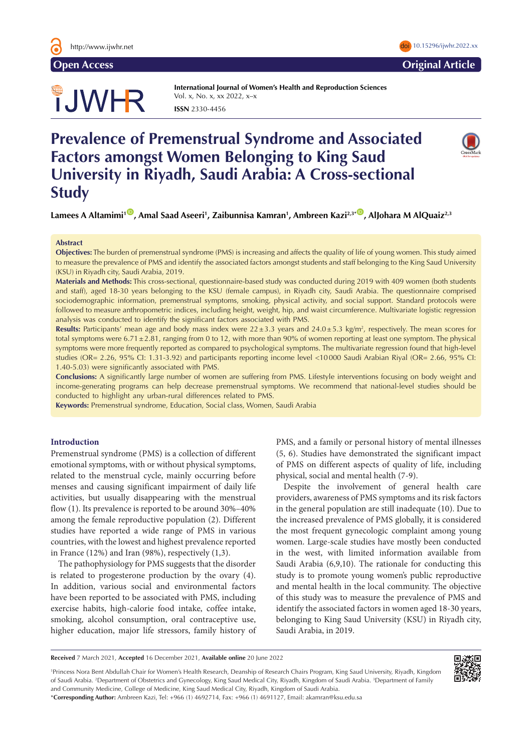

# TJWHR

**International Journal of Women's Health and Reproduction Sciences**  Vol. x, No. x, xx 2022, x–x **ISSN** 2330-4456

# **Prevalence of Premenstrual Syndrome and Associated Factors amongst Women Belonging to King Saud University in Riyadh, Saudi Arabia: A Cross-sectional Study**

**Lamees A Altamimi1** [ID](https://orcid.org/0000-0002-9718-2554) **, Amal Saad Aseeri1 , Zaibunnisa Kamran1 , Ambreen Kazi2,3\*** [ID](https://orcid.org/0000-0002-6807-8555) **, AlJohara M AlQuaiz2,3**

# **Abstract**

**Objectives:** The burden of premenstrual syndrome (PMS) is increasing and affects the quality of life of young women. This study aimed to measure the prevalence of PMS and identify the associated factors amongst students and staff belonging to the King Saud University (KSU) in Riyadh city, Saudi Arabia, 2019.

**Materials and Methods:** This cross-sectional, questionnaire-based study was conducted during 2019 with 409 women (both students and staff), aged 18-30 years belonging to the KSU (female campus), in Riyadh city, Saudi Arabia. The questionnaire comprised sociodemographic information, premenstrual symptoms, smoking, physical activity, and social support. Standard protocols were followed to measure anthropometric indices, including height, weight, hip, and waist circumference. Multivariate logistic regression analysis was conducted to identify the significant factors associated with PMS.

**Results:** Participants' mean age and body mass index were 22±3.3 years and 24.0±5.3 kg/m<sup>2</sup>, respectively. The mean scores for total symptoms were  $6.71\pm2.81$ , ranging from 0 to 12, with more than 90% of women reporting at least one symptom. The physical symptoms were more frequently reported as compared to psychological symptoms. The multivariate regression found that high-level studies (OR= 2.26, 95% CI: 1.31-3.92) and participants reporting income level <10000 Saudi Arabian Riyal (OR= 2.66, 95% CI: 1.40-5.03) were significantly associated with PMS.

**Conclusions:** A significantly large number of women are suffering from PMS. Lifestyle interventions focusing on body weight and income-generating programs can help decrease premenstrual symptoms. We recommend that national-level studies should be conducted to highlight any urban-rural differences related to PMS.

**Keywords:** Premenstrual syndrome, Education, Social class, Women, Saudi Arabia

#### **Introduction**

Premenstrual syndrome (PMS) is a collection of different emotional symptoms, with or without physical symptoms, related to the menstrual cycle, mainly occurring before menses and causing significant impairment of daily life activities, but usually disappearing with the menstrual flow (1). Its prevalence is reported to be around 30%–40% among the female reproductive population (2). Different studies have reported a wide range of PMS in various countries, with the lowest and highest prevalence reported in France (12%) and Iran (98%), respectively (1,3).

The pathophysiology for PMS suggests that the disorder is related to progesterone production by the ovary (4). In addition, various social and environmental factors have been reported to be associated with PMS, including exercise habits, high-calorie food intake, coffee intake, smoking, alcohol consumption, oral contraceptive use, higher education, major life stressors, family history of PMS, and a family or personal history of mental illnesses (5, 6). Studies have demonstrated the significant impact of PMS on different aspects of quality of life, including physical, social and mental health (7-9).

Despite the involvement of general health care providers, awareness of PMS symptoms and its risk factors in the general population are still inadequate (10). Due to the increased prevalence of PMS globally, it is considered the most frequent gynecologic complaint among young women. Large-scale studies have mostly been conducted in the west, with limited information available from Saudi Arabia (6,9,10). The rationale for conducting this study is to promote young women's public reproductive and mental health in the local community. The objective of this study was to measure the prevalence of PMS and identify the associated factors in women aged 18-30 years, belonging to King Saud University (KSU) in Riyadh city, Saudi Arabia, in 2019.

**Received** 7 March 2021, **Accepted** 16 December 2021, **Available online** 20 June 2022

1 Princess Nora Bent Abdullah Chair for Women's Health Research, Deanship of Research Chairs Program, King Saud University, Riyadh, Kingdom of Saudi Arabia. 2 Department of Obstetrics and Gynecology, King Saud Medical City, Riyadh, Kingdom of Saudi Arabia. 3 Department of Family and Community Medicine, College of Medicine, King Saud Medical City, Riyadh, Kingdom of Saudi Arabia.



**Open Access Original Article**

\***Corresponding Author:** Ambreen Kazi, Tel: +966 (1) 4692714, Fax: +966 (1) 4691127, Email: akamran@ksu.edu.sa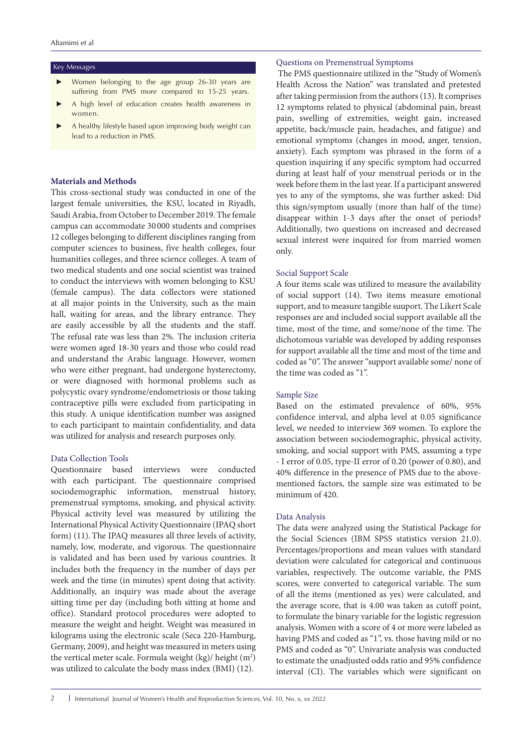#### Key Messages

- Women belonging to the age group 26-30 years are suffering from PMS more compared to 15-25 years.
- A high level of education creates health awareness in women.
- A healthy lifestyle based upon improving body weight can lead to a reduction in PMS.

# **Materials and Methods**

This cross-sectional study was conducted in one of the largest female universities, the KSU, located in Riyadh, Saudi Arabia, from October to December 2019. The female campus can accommodate 30 000 students and comprises 12 colleges belonging to different disciplines ranging from computer sciences to business, five health colleges, four humanities colleges, and three science colleges. A team of two medical students and one social scientist was trained to conduct the interviews with women belonging to KSU (female campus). The data collectors were stationed at all major points in the University, such as the main hall, waiting for areas, and the library entrance. They are easily accessible by all the students and the staff. The refusal rate was less than 2%. The inclusion criteria were women aged 18-30 years and those who could read and understand the Arabic language. However, women who were either pregnant, had undergone hysterectomy, or were diagnosed with hormonal problems such as polycystic ovary syndrome/endometriosis or those taking contraceptive pills were excluded from participating in this study. A unique identification number was assigned to each participant to maintain confidentiality, and data was utilized for analysis and research purposes only.

#### Data Collection Tools

Questionnaire based interviews were conducted with each participant. The questionnaire comprised sociodemographic information, menstrual history, premenstrual symptoms, smoking, and physical activity. Physical activity level was measured by utilizing the International Physical Activity Questionnaire (IPAQ short form) (11).The IPAQ measures all three levels of activity, namely, low, moderate, and vigorous. The questionnaire is validated and has been used by various countries. It includes both the frequency in the number of days per week and the time (in minutes) spent doing that activity. Additionally, an inquiry was made about the average sitting time per day (including both sitting at home and office). Standard protocol procedures were adopted to measure the weight and height. Weight was measured in kilograms using the electronic scale (Seca 220-Hamburg, Germany, 2009), and height was measured in meters using the vertical meter scale. Formula weight (kg)/ height (m<sup>2</sup>) was utilized to calculate the body mass index (BMI) (12).

# Questions on Premenstrual Symptoms

 The PMS questionnaire utilized in the "Study of Women's Health Across the Nation" was translated and pretested after taking permission from the authors (13). It comprises 12 symptoms related to physical (abdominal pain, breast pain, swelling of extremities, weight gain, increased appetite, back/muscle pain, headaches, and fatigue) and emotional symptoms (changes in mood, anger, tension, anxiety). Each symptom was phrased in the form of a question inquiring if any specific symptom had occurred during at least half of your menstrual periods or in the week before them in the last year. If a participant answered yes to any of the symptoms, she was further asked: Did this sign/symptom usually (more than half of the time) disappear within 1-3 days after the onset of periods? Additionally, two questions on increased and decreased sexual interest were inquired for from married women only.

#### Social Support Scale

A four items scale was utilized to measure the availability of social support (14). Two items measure emotional support, and to measure tangible suuport. The Likert Scale responses are and included social support available all the time, most of the time, and some/none of the time. The dichotomous variable was developed by adding responses for support available all the time and most of the time and coded as "0". The answer "support available some/ none of the time was coded as "1".

# Sample Size

Based on the estimated prevalence of 60%, 95% confidence interval, and alpha level at 0.05 significance level, we needed to interview 369 women. To explore the association between sociodemographic, physical activity, smoking, and social support with PMS, assuming a type - I error of 0.05, type-II error of 0.20 (power of 0.80), and 40% difference in the presence of PMS due to the abovementioned factors, the sample size was estimated to be minimum of 420.

# Data Analysis

The data were analyzed using the Statistical Package for the Social Sciences (IBM SPSS statistics version 21.0). Percentages/proportions and mean values with standard deviation were calculated for categorical and continuous variables, respectively. The outcome variable, the PMS scores, were converted to categorical variable. The sum of all the items (mentioned as yes) were calculated, and the average score, that is 4.00 was taken as cutoff point, to formulate the binary variable for the logistic regression analysis. Women with a score of 4 or more were labeled as having PMS and coded as "1", vs. those having mild or no PMS and coded as "0". Univariate analysis was conducted to estimate the unadjusted odds ratio and 95% confidence interval (CI). The variables which were significant on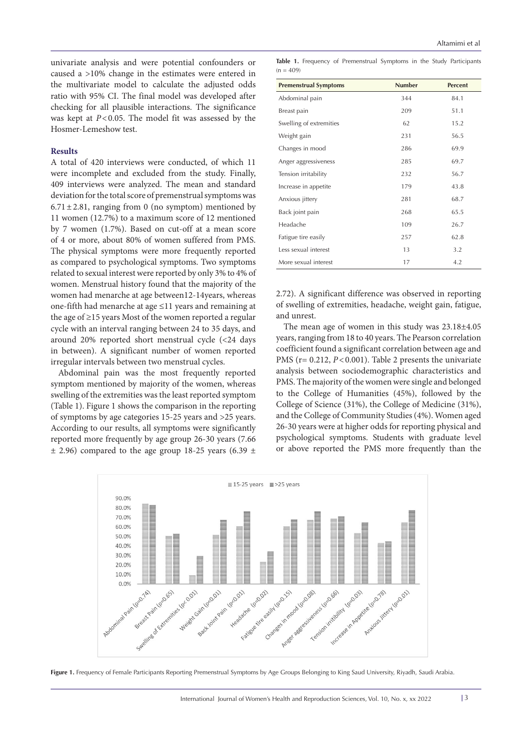univariate analysis and were potential confounders or caused a >10% change in the estimates were entered in the multivariate model to calculate the adjusted odds ratio with 95% CI. The final model was developed after checking for all plausible interactions. The significance was kept at  $P < 0.05$ . The model fit was assessed by the Hosmer-Lemeshow test.

# **Results**

A total of 420 interviews were conducted, of which 11 were incomplete and excluded from the study. Finally, 409 interviews were analyzed. The mean and standard deviation for the total score of premenstrual symptoms was  $6.71 \pm 2.81$ , ranging from 0 (no symptom) mentioned by 11 women (12.7%) to a maximum score of 12 mentioned by 7 women (1.7%). Based on cut-off at a mean score of 4 or more, about 80% of women suffered from PMS. The physical symptoms were more frequently reported as compared to psychological symptoms. Two symptoms related to sexual interest were reported by only 3% to 4% of women. Menstrual history found that the majority of the women had menarche at age between12-14years, whereas one-fifth had menarche at age ≤11 years and remaining at the age of ≥15 years Most of the women reported a regular cycle with an interval ranging between 24 to 35 days, and around 20% reported short menstrual cycle (<24 days in between). A significant number of women reported irregular intervals between two menstrual cycles.

Abdominal pain was the most frequently reported symptom mentioned by majority of the women, whereas swelling of the extremities was the least reported symptom (Table 1). Figure 1 shows the comparison in the reporting of symptoms by age categories 15-25 years and >25 years. According to our results, all symptoms were significantly reported more frequently by age group 26-30 years (7.66  $\pm$  2.96) compared to the age group 18-25 years (6.39  $\pm$ 

**Table 1.** Frequency of Premenstrual Symptoms in the Study Participants  $(n = 409)$ 

| <b>Premenstrual Symptoms</b> | <b>Number</b> | <b>Percent</b> |
|------------------------------|---------------|----------------|
| Abdominal pain               | 344           | 84.1           |
| Breast pain                  | 209           | 51.1           |
| Swelling of extremities      | 62            | 15.2           |
| Weight gain                  | 231           | 56.5           |
| Changes in mood              | 286           | 69.9           |
| Anger aggressiveness         | 285           | 69.7           |
| Tension irritability         | 232           | 56.7           |
| Increase in appetite         | 179           | 43.8           |
| Anxious jittery              | 281           | 68.7           |
| Back joint pain              | 268           | 65.5           |
| Headache                     | 109           | 26.7           |
| Fatigue tire easily          | 257           | 62.8           |
| Less sexual interest         | 13            | 3.2            |
| More sexual interest         | 17            | 4.2            |

2.72). A significant difference was observed in reporting of swelling of extremities, headache, weight gain, fatigue, and unrest.

The mean age of women in this study was 23.18±4.05 years, ranging from 18 to 40 years. The Pearson correlation coefficient found a significant correlation between age and PMS (r= 0.212, *P*<0.001). Table 2 presents the univariate analysis between sociodemographic characteristics and PMS. The majority of the women were single and belonged to the College of Humanities (45%), followed by the College of Science (31%), the College of Medicine (31%), and the College of Community Studies (4%). Women aged 26-30 years were at higher odds for reporting physical and psychological symptoms. Students with graduate level or above reported the PMS more frequently than the



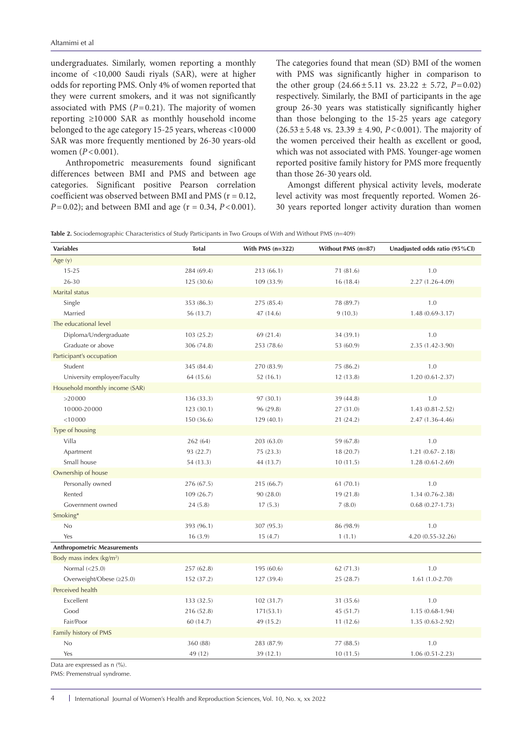undergraduates. Similarly, women reporting a monthly income of <10,000 Saudi riyals (SAR), were at higher odds for reporting PMS. Only 4% of women reported that they were current smokers, and it was not significantly associated with PMS  $(P=0.21)$ . The majority of women reporting ≥10 000 SAR as monthly household income belonged to the age category 15-25 years, whereas <10 000 SAR was more frequently mentioned by 26-30 years-old women (*P*<0.001).

 Anthropometric measurements found significant differences between BMI and PMS and between age categories. Significant positive Pearson correlation coefficient was observed between BMI and PMS ( $r = 0.12$ , *P*=0.02); and between BMI and age (r = 0.34, *P*<0.001). The categories found that mean (SD) BMI of the women with PMS was significantly higher in comparison to the other group  $(24.66 \pm 5.11 \text{ vs. } 23.22 \pm 5.72, P=0.02)$ respectively. Similarly, the BMI of participants in the age group 26-30 years was statistically significantly higher than those belonging to the 15-25 years age category  $(26.53 \pm 5.48 \text{ vs. } 23.39 \pm 4.90, P < 0.001)$ . The majority of the women perceived their health as excellent or good, which was not associated with PMS. Younger-age women reported positive family history for PMS more frequently than those 26-30 years old.

 Amongst different physical activity levels, moderate level activity was most frequently reported. Women 26- 30 years reported longer activity duration than women

**Table 2.** Sociodemographic Characteristics of Study Participants in Two Groups of With and Without PMS (n=409)

| Age $(y)$<br>$15 - 25$<br>284 (69.4)<br>1.0<br>213 (66.1)<br>71 (81.6)<br>26-30<br>2.27 (1.26-4.09)<br>125 (30.6)<br>109 (33.9)<br>16(18.4)<br>Marital status<br>Single<br>353 (86.3)<br>275 (85.4)<br>78 (89.7)<br>1.0<br>Married<br>56 (13.7)<br>47 (14.6)<br>9(10.3)<br>$1.48(0.69 - 3.17)$<br>The educational level<br>Diploma/Undergraduate<br>103 (25.2)<br>69 (21.4)<br>34 (39.1)<br>1.0<br>2.35 (1.42-3.90)<br>Graduate or above<br>306 (74.8)<br>253 (78.6)<br>53 (60.9)<br>Participant's occupation<br>1.0<br>Student<br>345 (84.4)<br>270 (83.9)<br>75 (86.2)<br>University employee/Faculty<br>64 (15.6)<br>$1.20(0.61 - 2.37)$<br>52(16.1)<br>12(13.8)<br>Household monthly income (SAR)<br>>20000<br>1.0<br>136 (33.3)<br>97 (30.1)<br>39 (44.8)<br>$1.43(0.81 - 2.52)$<br>10000-20000<br>123 (30.1)<br>96 (29.8)<br>27 (31.0)<br>< 10000<br>2.47 (1.36-4.46)<br>150 (36.6)<br>129(40.1)<br>21 (24.2)<br>Type of housing<br>1.0<br>Villa<br>262 (64)<br>203 (63.0)<br>59 (67.8)<br>93 (22.7)<br>$1.21(0.67 - 2.18)$<br>Apartment<br>75 (23.3)<br>18 (20.7)<br>Small house<br>54 (13.3)<br>44 (13.7)<br>10(11.5)<br>$1.28(0.61 - 2.69)$<br>Ownership of house<br>1.0<br>276 (67.5)<br>215 (66.7)<br>61(70.1)<br>Personally owned<br>1.34 (0.76-2.38)<br>Rented<br>109 (26.7)<br>90 (28.0)<br>19(21.8)<br>Government owned<br>17(5.3)<br>7(8.0)<br>$0.68(0.27 - 1.73)$<br>24(5.8)<br>Smoking*<br>393 (96.1)<br>307 (95.3)<br>No<br>86 (98.9)<br>1.0<br>4.20 (0.55-32.26)<br>Yes<br>16(3.9)<br>15(4.7)<br>1(1.1)<br><b>Anthropometric Measurements</b><br>Body mass index $(kg/m2)$<br>1.0<br>Normal $(<25.0)$<br>257 (62.8)<br>195 (60.6)<br>62 (71.3)<br>Overweight/Obese (≥25.0)<br>$1.61(1.0-2.70)$<br>152 (37.2)<br>127 (39.4)<br>25 (28.7)<br>Perceived health<br>Excellent<br>133 (32.5)<br>1.0<br>102(31.7)<br>31 (35.6)<br>Good<br>$1.15(0.68-1.94)$<br>216 (52.8)<br>171(53.1)<br>45 (51.7)<br>Fair/Poor<br>60 (14.7)<br>49 (15.2)<br>11(12.6)<br>$1.35(0.63 - 2.92)$<br>Family history of PMS<br>No<br>1.0<br>360 (88)<br>283 (87.9)<br>77 (88.5)<br>49 (12)<br>39 (12.1)<br>10(11.5)<br>$1.06(0.51 - 2.23)$<br>Yes | <b>Variables</b> | <b>Total</b> | With PMS $(n=322)$ | Without PMS (n=87) | Unadjusted odds ratio (95%Cl) |
|-------------------------------------------------------------------------------------------------------------------------------------------------------------------------------------------------------------------------------------------------------------------------------------------------------------------------------------------------------------------------------------------------------------------------------------------------------------------------------------------------------------------------------------------------------------------------------------------------------------------------------------------------------------------------------------------------------------------------------------------------------------------------------------------------------------------------------------------------------------------------------------------------------------------------------------------------------------------------------------------------------------------------------------------------------------------------------------------------------------------------------------------------------------------------------------------------------------------------------------------------------------------------------------------------------------------------------------------------------------------------------------------------------------------------------------------------------------------------------------------------------------------------------------------------------------------------------------------------------------------------------------------------------------------------------------------------------------------------------------------------------------------------------------------------------------------------------------------------------------------------------------------------------------------------------------------------------------------------------------------------------------------------------------------------------------------------------------------------------------------------------------------|------------------|--------------|--------------------|--------------------|-------------------------------|
|                                                                                                                                                                                                                                                                                                                                                                                                                                                                                                                                                                                                                                                                                                                                                                                                                                                                                                                                                                                                                                                                                                                                                                                                                                                                                                                                                                                                                                                                                                                                                                                                                                                                                                                                                                                                                                                                                                                                                                                                                                                                                                                                           |                  |              |                    |                    |                               |
|                                                                                                                                                                                                                                                                                                                                                                                                                                                                                                                                                                                                                                                                                                                                                                                                                                                                                                                                                                                                                                                                                                                                                                                                                                                                                                                                                                                                                                                                                                                                                                                                                                                                                                                                                                                                                                                                                                                                                                                                                                                                                                                                           |                  |              |                    |                    |                               |
|                                                                                                                                                                                                                                                                                                                                                                                                                                                                                                                                                                                                                                                                                                                                                                                                                                                                                                                                                                                                                                                                                                                                                                                                                                                                                                                                                                                                                                                                                                                                                                                                                                                                                                                                                                                                                                                                                                                                                                                                                                                                                                                                           |                  |              |                    |                    |                               |
|                                                                                                                                                                                                                                                                                                                                                                                                                                                                                                                                                                                                                                                                                                                                                                                                                                                                                                                                                                                                                                                                                                                                                                                                                                                                                                                                                                                                                                                                                                                                                                                                                                                                                                                                                                                                                                                                                                                                                                                                                                                                                                                                           |                  |              |                    |                    |                               |
|                                                                                                                                                                                                                                                                                                                                                                                                                                                                                                                                                                                                                                                                                                                                                                                                                                                                                                                                                                                                                                                                                                                                                                                                                                                                                                                                                                                                                                                                                                                                                                                                                                                                                                                                                                                                                                                                                                                                                                                                                                                                                                                                           |                  |              |                    |                    |                               |
|                                                                                                                                                                                                                                                                                                                                                                                                                                                                                                                                                                                                                                                                                                                                                                                                                                                                                                                                                                                                                                                                                                                                                                                                                                                                                                                                                                                                                                                                                                                                                                                                                                                                                                                                                                                                                                                                                                                                                                                                                                                                                                                                           |                  |              |                    |                    |                               |
|                                                                                                                                                                                                                                                                                                                                                                                                                                                                                                                                                                                                                                                                                                                                                                                                                                                                                                                                                                                                                                                                                                                                                                                                                                                                                                                                                                                                                                                                                                                                                                                                                                                                                                                                                                                                                                                                                                                                                                                                                                                                                                                                           |                  |              |                    |                    |                               |
|                                                                                                                                                                                                                                                                                                                                                                                                                                                                                                                                                                                                                                                                                                                                                                                                                                                                                                                                                                                                                                                                                                                                                                                                                                                                                                                                                                                                                                                                                                                                                                                                                                                                                                                                                                                                                                                                                                                                                                                                                                                                                                                                           |                  |              |                    |                    |                               |
|                                                                                                                                                                                                                                                                                                                                                                                                                                                                                                                                                                                                                                                                                                                                                                                                                                                                                                                                                                                                                                                                                                                                                                                                                                                                                                                                                                                                                                                                                                                                                                                                                                                                                                                                                                                                                                                                                                                                                                                                                                                                                                                                           |                  |              |                    |                    |                               |
|                                                                                                                                                                                                                                                                                                                                                                                                                                                                                                                                                                                                                                                                                                                                                                                                                                                                                                                                                                                                                                                                                                                                                                                                                                                                                                                                                                                                                                                                                                                                                                                                                                                                                                                                                                                                                                                                                                                                                                                                                                                                                                                                           |                  |              |                    |                    |                               |
|                                                                                                                                                                                                                                                                                                                                                                                                                                                                                                                                                                                                                                                                                                                                                                                                                                                                                                                                                                                                                                                                                                                                                                                                                                                                                                                                                                                                                                                                                                                                                                                                                                                                                                                                                                                                                                                                                                                                                                                                                                                                                                                                           |                  |              |                    |                    |                               |
|                                                                                                                                                                                                                                                                                                                                                                                                                                                                                                                                                                                                                                                                                                                                                                                                                                                                                                                                                                                                                                                                                                                                                                                                                                                                                                                                                                                                                                                                                                                                                                                                                                                                                                                                                                                                                                                                                                                                                                                                                                                                                                                                           |                  |              |                    |                    |                               |
|                                                                                                                                                                                                                                                                                                                                                                                                                                                                                                                                                                                                                                                                                                                                                                                                                                                                                                                                                                                                                                                                                                                                                                                                                                                                                                                                                                                                                                                                                                                                                                                                                                                                                                                                                                                                                                                                                                                                                                                                                                                                                                                                           |                  |              |                    |                    |                               |
|                                                                                                                                                                                                                                                                                                                                                                                                                                                                                                                                                                                                                                                                                                                                                                                                                                                                                                                                                                                                                                                                                                                                                                                                                                                                                                                                                                                                                                                                                                                                                                                                                                                                                                                                                                                                                                                                                                                                                                                                                                                                                                                                           |                  |              |                    |                    |                               |
|                                                                                                                                                                                                                                                                                                                                                                                                                                                                                                                                                                                                                                                                                                                                                                                                                                                                                                                                                                                                                                                                                                                                                                                                                                                                                                                                                                                                                                                                                                                                                                                                                                                                                                                                                                                                                                                                                                                                                                                                                                                                                                                                           |                  |              |                    |                    |                               |
|                                                                                                                                                                                                                                                                                                                                                                                                                                                                                                                                                                                                                                                                                                                                                                                                                                                                                                                                                                                                                                                                                                                                                                                                                                                                                                                                                                                                                                                                                                                                                                                                                                                                                                                                                                                                                                                                                                                                                                                                                                                                                                                                           |                  |              |                    |                    |                               |
|                                                                                                                                                                                                                                                                                                                                                                                                                                                                                                                                                                                                                                                                                                                                                                                                                                                                                                                                                                                                                                                                                                                                                                                                                                                                                                                                                                                                                                                                                                                                                                                                                                                                                                                                                                                                                                                                                                                                                                                                                                                                                                                                           |                  |              |                    |                    |                               |
|                                                                                                                                                                                                                                                                                                                                                                                                                                                                                                                                                                                                                                                                                                                                                                                                                                                                                                                                                                                                                                                                                                                                                                                                                                                                                                                                                                                                                                                                                                                                                                                                                                                                                                                                                                                                                                                                                                                                                                                                                                                                                                                                           |                  |              |                    |                    |                               |
|                                                                                                                                                                                                                                                                                                                                                                                                                                                                                                                                                                                                                                                                                                                                                                                                                                                                                                                                                                                                                                                                                                                                                                                                                                                                                                                                                                                                                                                                                                                                                                                                                                                                                                                                                                                                                                                                                                                                                                                                                                                                                                                                           |                  |              |                    |                    |                               |
|                                                                                                                                                                                                                                                                                                                                                                                                                                                                                                                                                                                                                                                                                                                                                                                                                                                                                                                                                                                                                                                                                                                                                                                                                                                                                                                                                                                                                                                                                                                                                                                                                                                                                                                                                                                                                                                                                                                                                                                                                                                                                                                                           |                  |              |                    |                    |                               |
|                                                                                                                                                                                                                                                                                                                                                                                                                                                                                                                                                                                                                                                                                                                                                                                                                                                                                                                                                                                                                                                                                                                                                                                                                                                                                                                                                                                                                                                                                                                                                                                                                                                                                                                                                                                                                                                                                                                                                                                                                                                                                                                                           |                  |              |                    |                    |                               |
|                                                                                                                                                                                                                                                                                                                                                                                                                                                                                                                                                                                                                                                                                                                                                                                                                                                                                                                                                                                                                                                                                                                                                                                                                                                                                                                                                                                                                                                                                                                                                                                                                                                                                                                                                                                                                                                                                                                                                                                                                                                                                                                                           |                  |              |                    |                    |                               |
|                                                                                                                                                                                                                                                                                                                                                                                                                                                                                                                                                                                                                                                                                                                                                                                                                                                                                                                                                                                                                                                                                                                                                                                                                                                                                                                                                                                                                                                                                                                                                                                                                                                                                                                                                                                                                                                                                                                                                                                                                                                                                                                                           |                  |              |                    |                    |                               |
|                                                                                                                                                                                                                                                                                                                                                                                                                                                                                                                                                                                                                                                                                                                                                                                                                                                                                                                                                                                                                                                                                                                                                                                                                                                                                                                                                                                                                                                                                                                                                                                                                                                                                                                                                                                                                                                                                                                                                                                                                                                                                                                                           |                  |              |                    |                    |                               |
|                                                                                                                                                                                                                                                                                                                                                                                                                                                                                                                                                                                                                                                                                                                                                                                                                                                                                                                                                                                                                                                                                                                                                                                                                                                                                                                                                                                                                                                                                                                                                                                                                                                                                                                                                                                                                                                                                                                                                                                                                                                                                                                                           |                  |              |                    |                    |                               |
|                                                                                                                                                                                                                                                                                                                                                                                                                                                                                                                                                                                                                                                                                                                                                                                                                                                                                                                                                                                                                                                                                                                                                                                                                                                                                                                                                                                                                                                                                                                                                                                                                                                                                                                                                                                                                                                                                                                                                                                                                                                                                                                                           |                  |              |                    |                    |                               |
|                                                                                                                                                                                                                                                                                                                                                                                                                                                                                                                                                                                                                                                                                                                                                                                                                                                                                                                                                                                                                                                                                                                                                                                                                                                                                                                                                                                                                                                                                                                                                                                                                                                                                                                                                                                                                                                                                                                                                                                                                                                                                                                                           |                  |              |                    |                    |                               |
|                                                                                                                                                                                                                                                                                                                                                                                                                                                                                                                                                                                                                                                                                                                                                                                                                                                                                                                                                                                                                                                                                                                                                                                                                                                                                                                                                                                                                                                                                                                                                                                                                                                                                                                                                                                                                                                                                                                                                                                                                                                                                                                                           |                  |              |                    |                    |                               |
|                                                                                                                                                                                                                                                                                                                                                                                                                                                                                                                                                                                                                                                                                                                                                                                                                                                                                                                                                                                                                                                                                                                                                                                                                                                                                                                                                                                                                                                                                                                                                                                                                                                                                                                                                                                                                                                                                                                                                                                                                                                                                                                                           |                  |              |                    |                    |                               |
|                                                                                                                                                                                                                                                                                                                                                                                                                                                                                                                                                                                                                                                                                                                                                                                                                                                                                                                                                                                                                                                                                                                                                                                                                                                                                                                                                                                                                                                                                                                                                                                                                                                                                                                                                                                                                                                                                                                                                                                                                                                                                                                                           |                  |              |                    |                    |                               |
|                                                                                                                                                                                                                                                                                                                                                                                                                                                                                                                                                                                                                                                                                                                                                                                                                                                                                                                                                                                                                                                                                                                                                                                                                                                                                                                                                                                                                                                                                                                                                                                                                                                                                                                                                                                                                                                                                                                                                                                                                                                                                                                                           |                  |              |                    |                    |                               |
|                                                                                                                                                                                                                                                                                                                                                                                                                                                                                                                                                                                                                                                                                                                                                                                                                                                                                                                                                                                                                                                                                                                                                                                                                                                                                                                                                                                                                                                                                                                                                                                                                                                                                                                                                                                                                                                                                                                                                                                                                                                                                                                                           |                  |              |                    |                    |                               |
|                                                                                                                                                                                                                                                                                                                                                                                                                                                                                                                                                                                                                                                                                                                                                                                                                                                                                                                                                                                                                                                                                                                                                                                                                                                                                                                                                                                                                                                                                                                                                                                                                                                                                                                                                                                                                                                                                                                                                                                                                                                                                                                                           |                  |              |                    |                    |                               |
|                                                                                                                                                                                                                                                                                                                                                                                                                                                                                                                                                                                                                                                                                                                                                                                                                                                                                                                                                                                                                                                                                                                                                                                                                                                                                                                                                                                                                                                                                                                                                                                                                                                                                                                                                                                                                                                                                                                                                                                                                                                                                                                                           |                  |              |                    |                    |                               |
|                                                                                                                                                                                                                                                                                                                                                                                                                                                                                                                                                                                                                                                                                                                                                                                                                                                                                                                                                                                                                                                                                                                                                                                                                                                                                                                                                                                                                                                                                                                                                                                                                                                                                                                                                                                                                                                                                                                                                                                                                                                                                                                                           |                  |              |                    |                    |                               |
|                                                                                                                                                                                                                                                                                                                                                                                                                                                                                                                                                                                                                                                                                                                                                                                                                                                                                                                                                                                                                                                                                                                                                                                                                                                                                                                                                                                                                                                                                                                                                                                                                                                                                                                                                                                                                                                                                                                                                                                                                                                                                                                                           |                  |              |                    |                    |                               |
|                                                                                                                                                                                                                                                                                                                                                                                                                                                                                                                                                                                                                                                                                                                                                                                                                                                                                                                                                                                                                                                                                                                                                                                                                                                                                                                                                                                                                                                                                                                                                                                                                                                                                                                                                                                                                                                                                                                                                                                                                                                                                                                                           |                  |              |                    |                    |                               |
|                                                                                                                                                                                                                                                                                                                                                                                                                                                                                                                                                                                                                                                                                                                                                                                                                                                                                                                                                                                                                                                                                                                                                                                                                                                                                                                                                                                                                                                                                                                                                                                                                                                                                                                                                                                                                                                                                                                                                                                                                                                                                                                                           |                  |              |                    |                    |                               |

Data are expressed as n  $\left(\%\right)$ 

PMS: Premenstrual syndrome.

4 International Journal of Women's Health and Reproduction Sciences, Vol. 10, No. x, xx 2022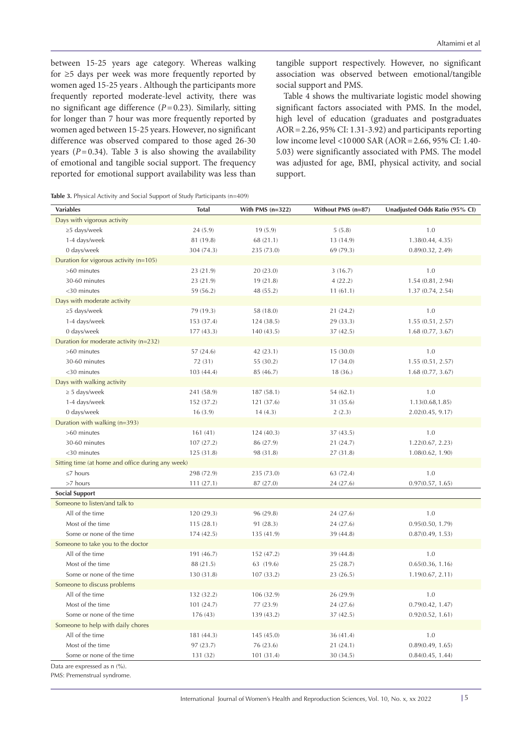between 15-25 years age category. Whereas walking for ≥5 days per week was more frequently reported by women aged 15-25 years . Although the participants more frequently reported moderate-level activity, there was no significant age difference (*P*=0.23). Similarly, sitting for longer than 7 hour was more frequently reported by women aged between 15-25 years. However, no significant difference was observed compared to those aged 26-30 years  $(P=0.34)$ . Table 3 is also showing the availability of emotional and tangible social support. The frequency reported for emotional support availability was less than tangible support respectively. However, no significant association was observed between emotional/tangible social support and PMS.

Table 4 shows the multivariate logistic model showing significant factors associated with PMS. In the model, high level of education (graduates and postgraduates AOR=2.26, 95% CI: 1.31-3.92) and participants reporting low income level <10 000 SAR (AOR=2.66, 95% CI: 1.40- 5.03) were significantly associated with PMS. The model was adjusted for age, BMI, physical activity, and social support.

|  | Table 3. Physical Activity and Social Support of Study Participants (n=409) |  |
|--|-----------------------------------------------------------------------------|--|
|--|-----------------------------------------------------------------------------|--|

| <b>Total</b> | With PMS $(n=322)$                                              | Without PMS (n=87) | Unadjusted Odds Ratio (95% CI) |
|--------------|-----------------------------------------------------------------|--------------------|--------------------------------|
|              |                                                                 |                    |                                |
| 24(5.9)      | 19(5.9)                                                         | 5(5.8)             | 1.0                            |
| 81 (19.8)    | 68 (21.1)                                                       | 13 (14.9)          | 1.38(0.44, 4.35)               |
| 304 (74.3)   | 235 (73.0)                                                      | 69 (79.3)          | 0.89(0.32, 2.49)               |
|              |                                                                 |                    |                                |
| 23 (21.9)    | 20 (23.0)                                                       | 3(16.7)            | 1.0                            |
| 23 (21.9)    | 19 (21.8)                                                       | 4(22.2)            | 1.54(0.81, 2.94)               |
| 59 (56.2)    | 48 (55.2)                                                       | 11(61.1)           | 1.37(0.74, 2.54)               |
|              |                                                                 |                    |                                |
| 79 (19.3)    | 58 (18.0)                                                       | 21 (24.2)          | 1.0                            |
| 153 (37.4)   | 124 (38.5)                                                      | 29 (33.3)          | 1.55(0.51, 2.57)               |
| 177(43.3)    | 140 (43.5)                                                      | 37 (42.5)          | 1.68(0.77, 3.67)               |
|              |                                                                 |                    |                                |
| 57 (24.6)    | 42 (23.1)                                                       | 15 (30.0)          | 1.0                            |
| 72 (31)      | 55 (30.2)                                                       | 17(34.0)           | 1.55(0.51, 2.57)               |
| 103(44.4)    | 85 (46.7)                                                       | 18(36.)            | 1.68(0.77, 3.67)               |
|              |                                                                 |                    |                                |
| 241 (58.9)   | 187(58.1)                                                       | 54(62.1)           | 1.0                            |
| 152 (37.2)   | 121 (37.6)                                                      | 31 (35.6)          | 1.13(0.68, 1.85)               |
| 16(3.9)      | 14(4.3)                                                         | 2(2.3)             | 2.02(0.45, 9.17)               |
|              |                                                                 |                    |                                |
| 161(41)      | 124(40.3)                                                       | 37 (43.5)          | 1.0                            |
| 107(27.2)    | 86 (27.9)                                                       | 21 (24.7)          | 1.22(0.67, 2.23)               |
| 125(31.8)    | 98 (31.8)                                                       | 27 (31.8)          | 1.08(0.62, 1.90)               |
|              |                                                                 |                    |                                |
| 298 (72.9)   | 235 (73.0)                                                      | 63 (72.4)          | 1.0                            |
| 111(27.1)    | 87 (27.0)                                                       | 24 (27.6)          | 0.97(0.57, 1.65)               |
|              |                                                                 |                    |                                |
|              |                                                                 |                    |                                |
| 120 (29.3)   | 96 (29.8)                                                       | 24 (27.6)          | 1.0                            |
| 115(28.1)    | 91 (28.3)                                                       | 24 (27.6)          | 0.95(0.50, 1.79)               |
| 174(42.5)    | 135 (41.9)                                                      | 39 (44.8)          | 0.87(0.49, 1.53)               |
|              |                                                                 |                    |                                |
| 191 (46.7)   | 152 (47.2)                                                      | 39 (44.8)          | 1.0                            |
| 88 (21.5)    | 63 (19.6)                                                       | 25 (28.7)          | 0.65(0.36, 1.16)               |
| 130 (31.8)   | 107 (33.2)                                                      | 23 (26.5)          | 1.19(0.67, 2.11)               |
|              |                                                                 |                    |                                |
| 132 (32.2)   | 106(32.9)                                                       | 26 (29.9)          | 1.0                            |
|              | 77 (23.9)                                                       |                    | 0.79(0.42, 1.47)               |
| 176 (43)     | 139 (43.2)                                                      | 37 (42.5)          | 0.92(0.52, 1.61)               |
|              |                                                                 |                    |                                |
| 181 (44.3)   | 145 (45.0)                                                      | 36 (41.4)          | 1.0                            |
| 97(23.7)     | 76 (23.6)                                                       | 21 (24.1)          | 0.89(0.49, 1.65)               |
| 131 (32)     | 101 (31.4)                                                      | 30 (34.5)          | 0.84(0.45, 1.44)               |
|              | Sitting time (at home and office during any week)<br>101 (24.7) |                    | 24 (27.6)                      |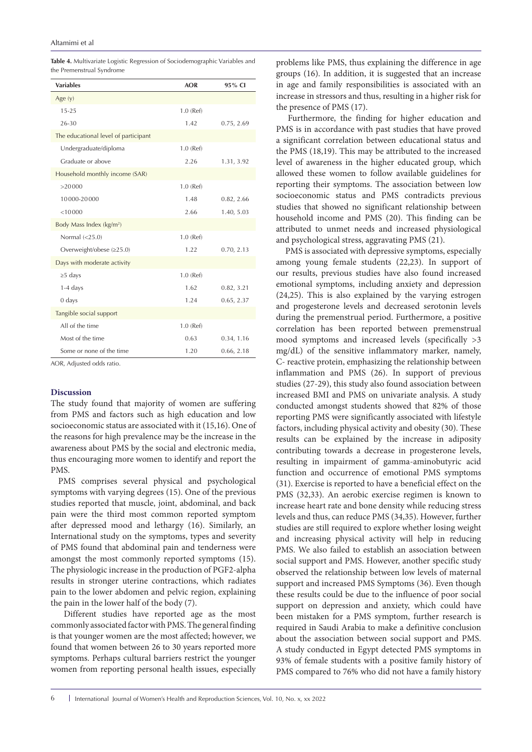| <b>Variables</b>                     | AOR         | 95% CI     |
|--------------------------------------|-------------|------------|
| Age $(y)$                            |             |            |
| $15 - 25$                            | $1.0$ (Ref) |            |
| 26-30                                | 1.42        | 0.75, 2.69 |
| The educational level of participant |             |            |
| Undergraduate/diploma                | $1.0$ (Ref) |            |
| Graduate or above                    | 2.26        | 1.31, 3.92 |
| Household monthly income (SAR)       |             |            |
| >20000                               | $1.0$ (Ref) |            |
| 10000-20000                          | 1.48        | 0.82, 2.66 |
| < 10000                              | 2.66        | 1.40, 5.03 |
| Body Mass Index (kg/m <sup>2</sup> ) |             |            |
| Normal $(<25.0)$                     | $1.0$ (Ref) |            |
| Overweight/obese $(\geq 25.0)$       | 1.22        | 0.70, 2.13 |
| Days with moderate activity          |             |            |
| $\geq$ 5 days                        | $1.0$ (Ref) |            |
| $1-4$ days                           | 1.62        | 0.82, 3.21 |
| $0 \text{ days}$                     | 1.24        | 0.65, 2.37 |
| Tangible social support              |             |            |
| All of the time                      | $1.0$ (Ref) |            |
| Most of the time                     | 0.63        | 0.34, 1.16 |
| Some or none of the time             | 1.20        | 0.66, 2.18 |

**Table 4.** Multivariate Logistic Regression of Sociodemographic Variables and the Premenstrual Syndrome

AOR, Adjusted odds ratio.

# **Discussion**

The study found that majority of women are suffering from PMS and factors such as high education and low socioeconomic status are associated with it (15,16). One of the reasons for high prevalence may be the increase in the awareness about PMS by the social and electronic media, thus encouraging more women to identify and report the PMS.

PMS comprises several physical and psychological symptoms with varying degrees (15). One of the previous studies reported that muscle, joint, abdominal, and back pain were the third most common reported symptom after depressed mood and lethargy (16). Similarly, an International study on the symptoms, types and severity of PMS found that abdominal pain and tenderness were amongst the most commonly reported symptoms (15). The physiologic increase in the production of PGF2-alpha results in stronger uterine contractions, which radiates pain to the lower abdomen and pelvic region, explaining the pain in the lower half of the body (7).

 Different studies have reported age as the most commonly associated factor with PMS. The general finding is that younger women are the most affected; however, we found that women between 26 to 30 years reported more symptoms. Perhaps cultural barriers restrict the younger women from reporting personal health issues, especially problems like PMS, thus explaining the difference in age groups (16). In addition, it is suggested that an increase in age and family responsibilities is associated with an increase in stressors and thus, resulting in a higher risk for the presence of PMS (17).

 Furthermore, the finding for higher education and PMS is in accordance with past studies that have proved a significant correlation between educational status and the PMS (18,19). This may be attributed to the increased level of awareness in the higher educated group, which allowed these women to follow available guidelines for reporting their symptoms. The association between low socioeconomic status and PMS contradicts previous studies that showed no significant relationship between household income and PMS (20). This finding can be attributed to unmet needs and increased physiological and psychological stress, aggravating PMS (21).

 PMS is associated with depressive symptoms, especially among young female students (22,23). In support of our results, previous studies have also found increased emotional symptoms, including anxiety and depression (24,25). This is also explained by the varying estrogen and progesterone levels and decreased serotonin levels during the premenstrual period. Furthermore, a positive correlation has been reported between premenstrual mood symptoms and increased levels (specifically >3 mg/dL) of the sensitive inflammatory marker, namely, C- reactive protein, emphasizing the relationship between inflammation and PMS (26). In support of previous studies (27-29), this study also found association between increased BMI and PMS on univariate analysis. A study conducted amongst students showed that 82% of those reporting PMS were significantly associated with lifestyle factors, including physical activity and obesity (30). These results can be explained by the increase in adiposity contributing towards a decrease in progesterone levels, resulting in impairment of gamma-aminobutyric acid function and occurrence of emotional PMS symptoms (31). Exercise is reported to have a beneficial effect on the PMS (32,33). An aerobic exercise regimen is known to increase heart rate and bone density while reducing stress levels and thus, can reduce PMS (34,35). However, further studies are still required to explore whether losing weight and increasing physical activity will help in reducing PMS. We also failed to establish an association between social support and PMS. However, another specific study observed the relationship between low levels of maternal support and increased PMS Symptoms (36). Even though these results could be due to the influence of poor social support on depression and anxiety, which could have been mistaken for a PMS symptom, further research is required in Saudi Arabia to make a definitive conclusion about the association between social support and PMS. A study conducted in Egypt detected PMS symptoms in 93% of female students with a positive family history of PMS compared to 76% who did not have a family history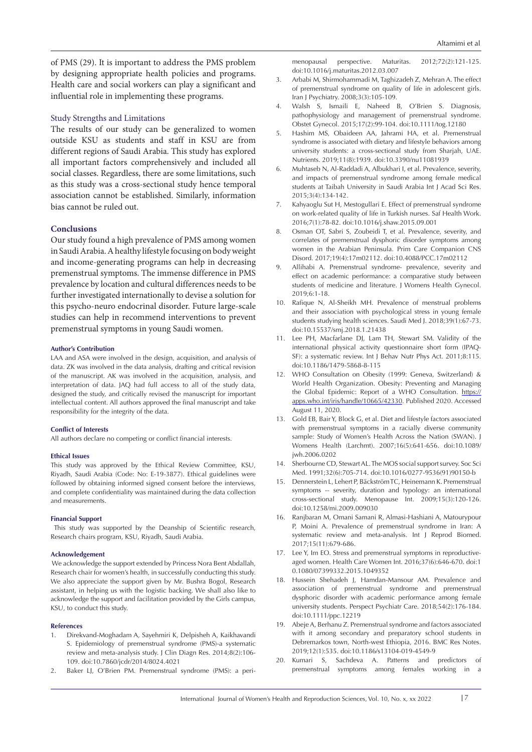of PMS (29). It is important to address the PMS problem by designing appropriate health policies and programs. Health care and social workers can play a significant and influential role in implementing these programs.

#### Study Strengths and Limitations

The results of our study can be generalized to women outside KSU as students and staff in KSU are from different regions of Saudi Arabia. This study has explored all important factors comprehensively and included all social classes. Regardless, there are some limitations, such as this study was a cross-sectional study hence temporal association cannot be established. Similarly, information bias cannot be ruled out.

# **Conclusions**

Our study found a high prevalence of PMS among women in Saudi Arabia. A healthy lifestyle focusing on body weight and income-generating programs can help in decreasing premenstrual symptoms. The immense difference in PMS prevalence by location and cultural differences needs to be further investigated internationally to devise a solution for this psycho-neuro endocrinal disorder. Future large-scale studies can help in recommend interventions to prevent premenstrual symptoms in young Saudi women.

#### **Author's Contribution**

LAA and ASA were involved in the design, acquisition, and analysis of data. ZK was involved in the data analysis, drafting and critical revision of the manuscript. AK was involved in the acquisition, analysis, and interpretation of data. JAQ had full access to all of the study data, designed the study, and critically revised the manuscript for important intellectual content. All authors approved the final manuscript and take responsibility for the integrity of the data.

#### **Conflict of Interests**

All authors declare no competing or conflict financial interests.

#### **Ethical Issues**

This study was approved by the Ethical Review Committee, KSU, Riyadh, Saudi Arabia (Code: No: E-19-3877). Ethical guidelines were followed by obtaining informed signed consent before the interviews, and complete confidentiality was maintained during the data collection and measurements.

#### **Financial Support**

 This study was supported by the Deanship of Scientific research, Research chairs program, KSU, Riyadh, Saudi Arabia.

#### **Acknowledgement**

 We acknowledge the support extended by Princess Nora Bent Abdallah, Research chair for women's health, in successfully conducting this study. We also appreciate the support given by Mr. Bushra Bogol, Research assistant, in helping us with the logistic backing. We shall also like to acknowledge the support and facilitation provided by the Girls campus, KSU, to conduct this study.

#### **References**

- 1. Direkvand-Moghadam A, Sayehmiri K, Delpisheh A, Kaikhavandi S. Epidemiology of premenstrual syndrome (PMS)-a systematic review and meta-analysis study. J Clin Diagn Res. 2014;8(2):106- 109. doi:10.7860/jcdr/2014/8024.4021
- 2. Baker LJ, O'Brien PM. Premenstrual syndrome (PMS): a peri-

menopausal perspective. Maturitas. 2012;72(2):121-125. doi:10.1016/j.maturitas.2012.03.007

- 3. Arbabi M, Shirmohammadi M, Taghizadeh Z, Mehran A. The effect of premenstrual syndrome on quality of life in adolescent girls. Iran J Psychiatry. 2008;3(3):105-109.
- 4. Walsh S, Ismaili E, Naheed B, O'Brien S. Diagnosis, pathophysiology and management of premenstrual syndrome. Obstet Gynecol. 2015;17(2):99-104. doi:10.1111/tog.12180
- 5. Hashim MS, Obaideen AA, Jahrami HA, et al. Premenstrual syndrome is associated with dietary and lifestyle behaviors among university students: a cross-sectional study from Sharjah, UAE. Nutrients. 2019;11(8):1939. doi:10.3390/nu11081939
- 6. Muhtaseb N, Al-Raddadi A, Albukhari I, et al. Prevalence, severity, and impacts of premenstrual syndrome among female medical students at Taibah University in Saudi Arabia Int J Acad Sci Res. 2015;3(4):134-142.
- 7. Kahyaoglu Sut H, Mestogullari E. Effect of premenstrual syndrome on work-related quality of life in Turkish nurses. Saf Health Work. 2016;7(1):78-82. doi:10.1016/j.shaw.2015.09.001
- 8. Osman OT, Sabri S, Zoubeidi T, et al. Prevalence, severity, and correlates of premenstrual dysphoric disorder symptoms among women in the Arabian Peninsula. Prim Care Companion CNS Disord. 2017;19(4):17m02112. doi:10.4088/PCC.17m02112
- 9. Allihabi A. Premenstrual syndrome- prevalence, severity and effect on academic performance: a comparative study between students of medicine and literature. J Womens Health Gynecol. 2019;6:1-18.
- 10. Rafique N, Al-Sheikh MH. Prevalence of menstrual problems and their association with psychological stress in young female students studying health sciences. Saudi Med J. 2018;39(1):67-73. doi:10.15537/smj.2018.1.21438
- 11. Lee PH, Macfarlane DJ, Lam TH, Stewart SM. Validity of the international physical activity questionnaire short form (IPAQ-SF): a systematic review. Int J Behav Nutr Phys Act. 2011;8:115. doi:10.1186/1479-5868-8-115
- 12. WHO Consultation on Obesity (1999: Geneva, Switzerland) & World Health Organization. Obesity: Preventing and Managing the Global Epidemic: Report of a WHO Consultation. [https://](https://apps.who.int/iris/handle/10665/42330) [apps.who.int/iris/handle/10665/42330](https://apps.who.int/iris/handle/10665/42330). Published 2020. Accessed August 11, 2020.
- 13. Gold EB, Bair Y, Block G, et al. Diet and lifestyle factors associated with premenstrual symptoms in a racially diverse community sample: Study of Women's Health Across the Nation (SWAN). J Womens Health (Larchmt). 2007;16(5):641-656. doi:10.1089/ jwh.2006.0202
- 14. Sherbourne CD, Stewart AL. The MOS social support survey. Soc Sci Med. 1991;32(6):705-714. doi:10.1016/0277-9536(91)90150-b
- 15. Dennerstein L, Lehert P, Bäckström TC, Heinemann K. Premenstrual symptoms -- severity, duration and typology: an international cross-sectional study. Menopause Int. 2009;15(3):120-126. doi:10.1258/mi.2009.009030
- 16. Ranjbaran M, Omani Samani R, Almasi-Hashiani A, Matourypour P, Moini A. Prevalence of premenstrual syndrome in Iran: A systematic review and meta-analysis. Int J Reprod Biomed. 2017;15(11):679-686.
- 17. Lee Y, Im EO. Stress and premenstrual symptoms in reproductiveaged women. Health Care Women Int. 2016;37(6):646-670. doi:1 0.1080/07399332.2015.1049352
- 18. Hussein Shehadeh J, Hamdan-Mansour AM. Prevalence and association of premenstrual syndrome and premenstrual dysphoric disorder with academic performance among female university students. Perspect Psychiatr Care. 2018;54(2):176-184. doi:10.1111/ppc.12219
- 19. Abeje A, Berhanu Z. Premenstrual syndrome and factors associated with it among secondary and preparatory school students in Debremarkos town, North-west Ethiopia, 2016. BMC Res Notes. 2019;12(1):535. doi:10.1186/s13104-019-4549-9
- 20. Kumari S, Sachdeva A. Patterns and predictors of premenstrual symptoms among females working in a